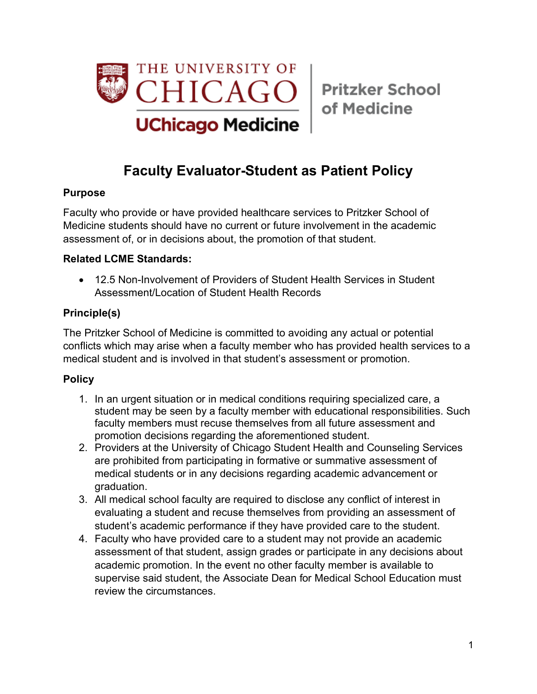

of Medicine

# **Faculty Evaluator-Student as Patient Policy**

#### **Purpose**

Faculty who provide or have provided healthcare services to Pritzker School of Medicine students should have no current or future involvement in the academic assessment of, or in decisions about, the promotion of that student.

### **Related LCME Standards:**

• 12.5 Non-Involvement of Providers of Student Health Services in Student Assessment/Location of Student Health Records

## **Principle(s)**

The Pritzker School of Medicine is committed to avoiding any actual or potential conflicts which may arise when a faculty member who has provided health services to a medical student and is involved in that student's assessment or promotion.

#### **Policy**

- 1. In an urgent situation or in medical conditions requiring specialized care, a student may be seen by a faculty member with educational responsibilities. Such faculty members must recuse themselves from all future assessment and promotion decisions regarding the aforementioned student.
- 2. Providers at the University of Chicago Student Health and Counseling Services are prohibited from participating in formative or summative assessment of medical students or in any decisions regarding academic advancement or graduation.
- 3. All medical school faculty are required to disclose any conflict of interest in evaluating a student and recuse themselves from providing an assessment of student's academic performance if they have provided care to the student.
- 4. Faculty who have provided care to a student may not provide an academic assessment of that student, assign grades or participate in any decisions about academic promotion. In the event no other faculty member is available to supervise said student, the Associate Dean for Medical School Education must review the circumstances.